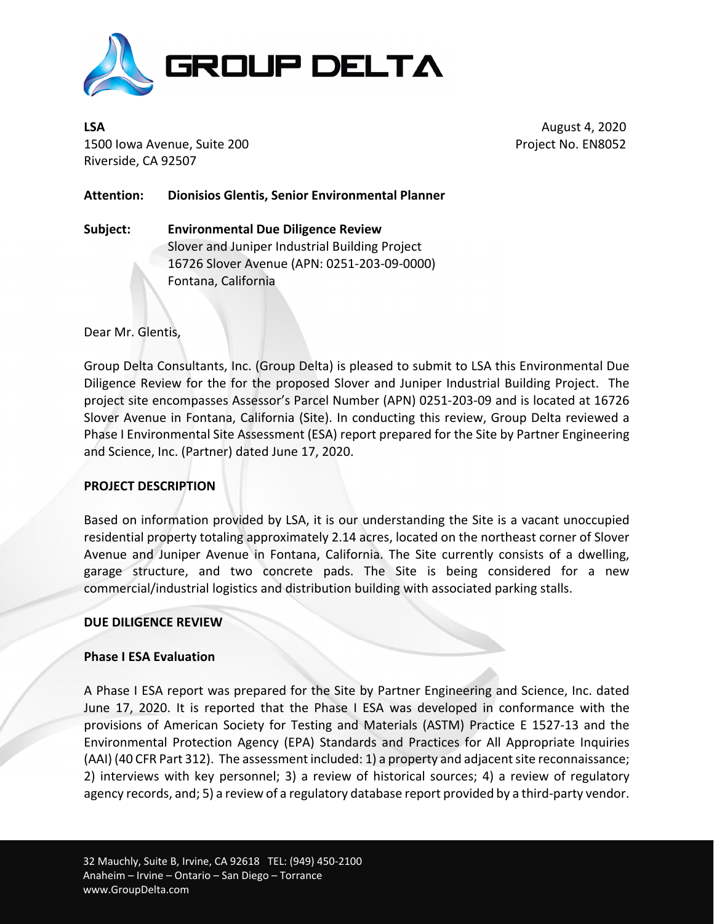

**LSA**  August 4, 2020 1500 Iowa Avenue, Suite 200 Project No. EN8052 Riverside, CA 92507

**Attention: Dionisios Glentis, Senior Environmental Planner**

**Subject: Environmental Due Diligence Review** Slover and Juniper Industrial Building Project 16726 Slover Avenue (APN: 0251‐203‐09‐0000) Fontana, California

Dear Mr. Glentis,

Group Delta Consultants, Inc. (Group Delta) is pleased to submit to LSA this Environmental Due Diligence Review for the for the proposed Slover and Juniper Industrial Building Project. The project site encompasses Assessor's Parcel Number (APN) 0251‐203‐09 and is located at 16726 Slover Avenue in Fontana, California (Site). In conducting this review, Group Delta reviewed a Phase I Environmental Site Assessment (ESA) report prepared for the Site by Partner Engineering and Science, Inc. (Partner) dated June 17, 2020.

## **PROJECT DESCRIPTION**

Based on information provided by LSA, it is our understanding the Site is a vacant unoccupied residential property totaling approximately 2.14 acres, located on the northeast corner of Slover Avenue and Juniper Avenue in Fontana, California. The Site currently consists of a dwelling, garage structure, and two concrete pads. The Site is being considered for a new commercial/industrial logistics and distribution building with associated parking stalls.

#### **DUE DILIGENCE REVIEW**

## **Phase I ESA Evaluation**

A Phase I ESA report was prepared for the Site by Partner Engineering and Science, Inc. dated June 17, 2020. It is reported that the Phase I ESA was developed in conformance with the provisions of American Society for Testing and Materials (ASTM) Practice E 1527‐13 and the Environmental Protection Agency (EPA) Standards and Practices for All Appropriate Inquiries (AAI) (40 CFR Part 312). The assessment included: 1) a property and adjacentsite reconnaissance; 2) interviews with key personnel; 3) a review of historical sources; 4) a review of regulatory agency records, and; 5) a review of a regulatory database report provided by a third-party vendor.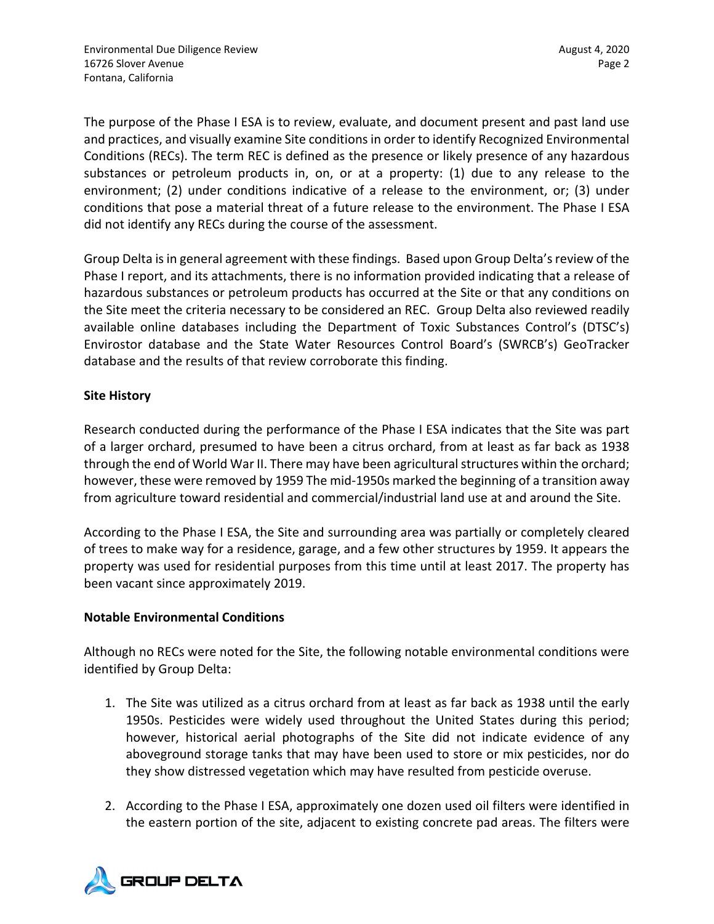The purpose of the Phase I ESA is to review, evaluate, and document present and past land use and practices, and visually examine Site conditionsin order to identify Recognized Environmental Conditions (RECs). The term REC is defined as the presence or likely presence of any hazardous substances or petroleum products in, on, or at a property: (1) due to any release to the environment; (2) under conditions indicative of a release to the environment, or; (3) under conditions that pose a material threat of a future release to the environment. The Phase I ESA did not identify any RECs during the course of the assessment.

Group Delta is in general agreement with these findings. Based upon Group Delta's review of the Phase I report, and its attachments, there is no information provided indicating that a release of hazardous substances or petroleum products has occurred at the Site or that any conditions on the Site meet the criteria necessary to be considered an REC. Group Delta also reviewed readily available online databases including the Department of Toxic Substances Control's (DTSC's) Envirostor database and the State Water Resources Control Board's (SWRCB's) GeoTracker database and the results of that review corroborate this finding.

# **Site History**

Research conducted during the performance of the Phase I ESA indicates that the Site was part of a larger orchard, presumed to have been a citrus orchard, from at least as far back as 1938 through the end of World War II. There may have been agricultural structures within the orchard; however, these were removed by 1959 The mid-1950s marked the beginning of a transition away from agriculture toward residential and commercial/industrial land use at and around the Site.

According to the Phase I ESA, the Site and surrounding area was partially or completely cleared of trees to make way for a residence, garage, and a few other structures by 1959. It appears the property was used for residential purposes from this time until at least 2017. The property has been vacant since approximately 2019.

## **Notable Environmental Conditions**

Although no RECs were noted for the Site, the following notable environmental conditions were identified by Group Delta:

- 1. The Site was utilized as a citrus orchard from at least as far back as 1938 until the early 1950s. Pesticides were widely used throughout the United States during this period; however, historical aerial photographs of the Site did not indicate evidence of any aboveground storage tanks that may have been used to store or mix pesticides, nor do they show distressed vegetation which may have resulted from pesticide overuse.
- 2. According to the Phase I ESA, approximately one dozen used oil filters were identified in the eastern portion of the site, adjacent to existing concrete pad areas. The filters were

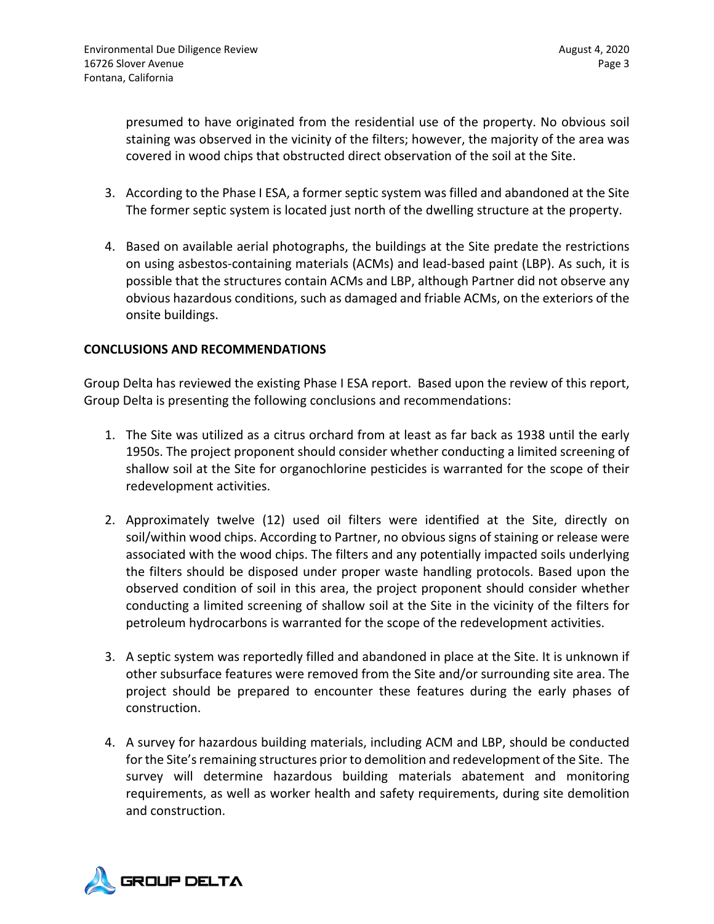presumed to have originated from the residential use of the property. No obvious soil staining was observed in the vicinity of the filters; however, the majority of the area was covered in wood chips that obstructed direct observation of the soil at the Site.

- 3. According to the Phase I ESA, a former septic system was filled and abandoned at the Site The former septic system is located just north of the dwelling structure at the property.
- 4. Based on available aerial photographs, the buildings at the Site predate the restrictions on using asbestos‐containing materials (ACMs) and lead‐based paint (LBP). As such, it is possible that the structures contain ACMs and LBP, although Partner did not observe any obvious hazardous conditions, such as damaged and friable ACMs, on the exteriors of the onsite buildings.

## **CONCLUSIONS AND RECOMMENDATIONS**

Group Delta has reviewed the existing Phase I ESA report. Based upon the review of this report, Group Delta is presenting the following conclusions and recommendations:

- 1. The Site was utilized as a citrus orchard from at least as far back as 1938 until the early 1950s. The project proponent should consider whether conducting a limited screening of shallow soil at the Site for organochlorine pesticides is warranted for the scope of their redevelopment activities.
- 2. Approximately twelve (12) used oil filters were identified at the Site, directly on soil/within wood chips. According to Partner, no obvious signs of staining or release were associated with the wood chips. The filters and any potentially impacted soils underlying the filters should be disposed under proper waste handling protocols. Based upon the observed condition of soil in this area, the project proponent should consider whether conducting a limited screening of shallow soil at the Site in the vicinity of the filters for petroleum hydrocarbons is warranted for the scope of the redevelopment activities.
- 3. A septic system was reportedly filled and abandoned in place at the Site. It is unknown if other subsurface features were removed from the Site and/or surrounding site area. The project should be prepared to encounter these features during the early phases of construction.
- 4. A survey for hazardous building materials, including ACM and LBP, should be conducted for the Site's remaining structures prior to demolition and redevelopment of the Site. The survey will determine hazardous building materials abatement and monitoring requirements, as well as worker health and safety requirements, during site demolition and construction.